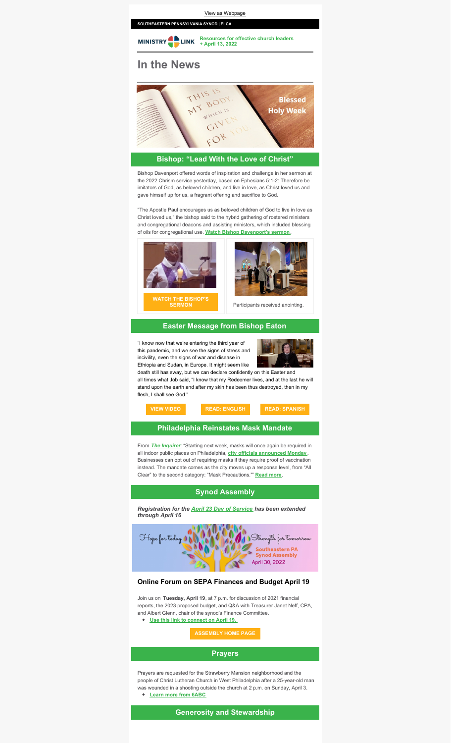

# **Bishop: "Lead With the Love of Christ"**

Bishop Davenport offered words of inspiration and challenge in her sermon at the 2022 Chrism service yesterday, based on Ephesians 5:1-2: Therefore be imitators of God, as beloved children, and live in love, as Christ loved us and gave himself up for us, a fragrant offering and sacrifice to God.

"The Apostle Paul encourages us as beloved children of God to live in love as Christ loved us," the bishop said to the hybrid gathering of rostered ministers and congregational deacons and assisting ministers, which included blessing of oils for congregational use. **Watch Bishop [Davenport's](https://youtu.be/fWmBGp0Bg9M) sermon**.





Participants received anointing.

#### **Easter Message from Bishop Eaton**

"I know now that we're entering the third year of this pandemic, and we see the signs of stress and incivility, even the signs of war and disease in Ethiopia and Sudan, in Europe. It might seem like



death still has sway, but we can declare confidently on this Easter and all times what Job said, "I know that my Redeemer lives, and at the last he will stand upon the earth and after my skin has been thus destroyed, then in my flesh, I shall see God."



## **Philadelphia Reinstates Mask Mandate**

From *The [Inquirer](https://www.inquirer.com/search/?query=mask mandate)*: "Starting next week, masks will once again be required in all indoor public places on Philadelphia, **city officials [announced](https://www.inquirer.com/health/coronavirus/live/covid-philadelphia-mask-restrictions-pa-nj-de-cases-20220411.html) Monday** . Businesses can opt out of requiring masks if they require proof of vaccination instead. The mandate comes as the city moves up a response level, from "All Clear" to the second category: "Mask Precautions."" **[Read](https://www.inquirer.com/search/?query=mask mandate) more**.

### **Synod Assembly**

*Registration for the April 23 Day of [Service](https://ministrylink.org/service) has been extended through April 16*



### **Online Forum on SEPA Finances and Budget April 19**

Join us on **Tuesday, April 19**, at 7 p.m. for discussion of 2021 financial reports, the 2023 proposed budget, and Q&A with Treasurer Janet Neff, CPA, and Albert Glenn, chair of the synod's Finance Committee. **Use this link to [connect](https://us02web.zoom.us/j/81061253387?pwd=ZVc2UW5aU0g0SVI3VmpQOU40c2tuQT09) on April 19.**

### **[ASSEMBLY](https://ministrylink.org/assembly) HOME PAGE**

### **Prayers**

Prayers are requested for the Strawberry Mansion neighborhood and the people of Christ Lutheran Church in West Philadelphia after a 25-year-old man was wounded in a shooting outside the church at 2 p.m. on Sunday, April 3. **Learn more from [6ABC](https://6abc.com/philadelphia-shooting-ridge-avenue-strawberry-mansion-man-shot/11706455/)**